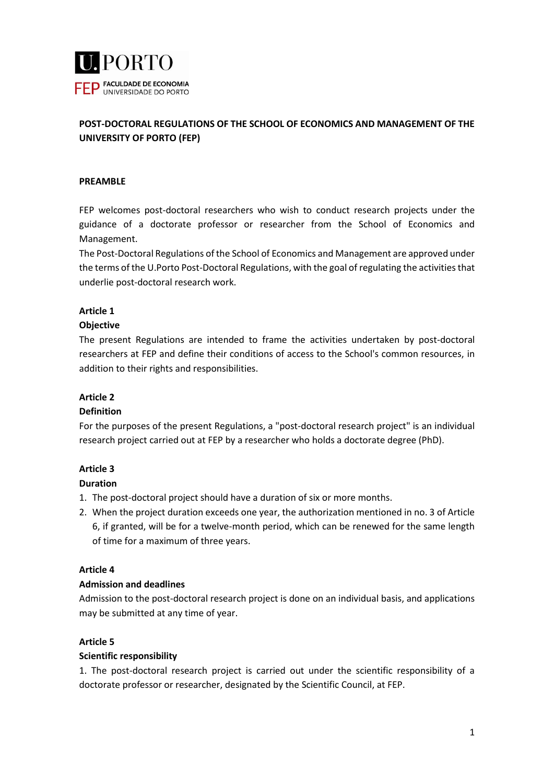

# **POST-DOCTORAL REGULATIONS OF THE SCHOOL OF ECONOMICS AND MANAGEMENT OF THE UNIVERSITY OF PORTO (FEP)**

### **PREAMBLE**

FEP welcomes post-doctoral researchers who wish to conduct research projects under the guidance of a doctorate professor or researcher from the School of Economics and Management.

The Post-Doctoral Regulations of the School of Economics and Management are approved under the terms of the U.Porto Post-Doctoral Regulations, with the goal of regulating the activities that underlie post-doctoral research work.

## **Article 1**

## **Objective**

The present Regulations are intended to frame the activities undertaken by post-doctoral researchers at FEP and define their conditions of access to the School's common resources, in addition to their rights and responsibilities.

### **Article 2**

#### **Definition**

For the purposes of the present Regulations, a "post-doctoral research project" is an individual research project carried out at FEP by a researcher who holds a doctorate degree (PhD).

#### **Article 3**

#### **Duration**

- 1. The post-doctoral project should have a duration of six or more months.
- 2. When the project duration exceeds one year, the authorization mentioned in no. 3 of Article 6, if granted, will be for a twelve-month period, which can be renewed for the same length of time for a maximum of three years.

#### **Article 4**

#### **Admission and deadlines**

Admission to the post-doctoral research project is done on an individual basis, and applications may be submitted at any time of year.

#### **Article 5**

## **Scientific responsibility**

1. The post-doctoral research project is carried out under the scientific responsibility of a doctorate professor or researcher, designated by the Scientific Council, at FEP.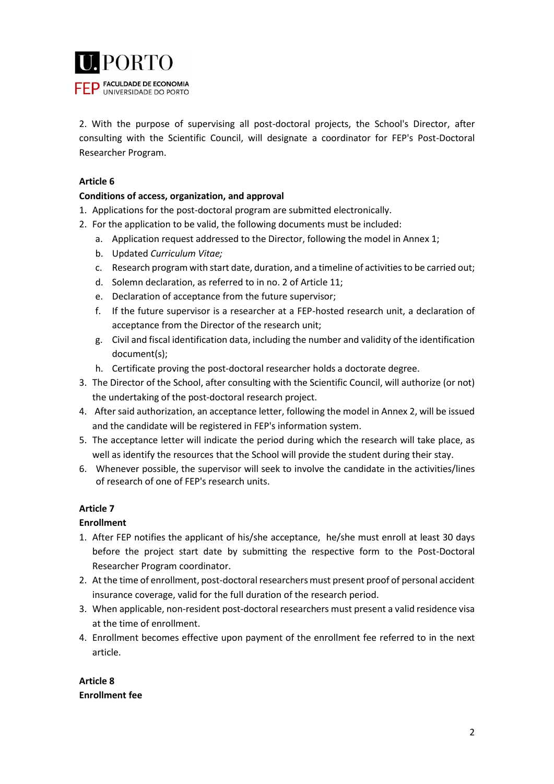

2. With the purpose of supervising all post-doctoral projects, the School's Director, after consulting with the Scientific Council, will designate a coordinator for FEP's Post-Doctoral Researcher Program.

# **Article 6**

## **Conditions of access, organization, and approval**

- 1. Applications for the post-doctoral program are submitted electronically.
- 2. For the application to be valid, the following documents must be included:
	- a. Application request addressed to the Director, following the model in Annex 1;
	- b. Updated *Curriculum Vitae;*
	- c. Research program with start date, duration, and a timeline of activities to be carried out;
	- d. Solemn declaration, as referred to in no. 2 of Article 11;
	- e. Declaration of acceptance from the future supervisor;
	- f. If the future supervisor is a researcher at a FEP-hosted research unit, a declaration of acceptance from the Director of the research unit;
	- g. Civil and fiscal identification data, including the number and validity of the identification document(s);
	- h. Certificate proving the post-doctoral researcher holds a doctorate degree.
- 3. The Director of the School, after consulting with the Scientific Council, will authorize (or not) the undertaking of the post-doctoral research project.
- 4. After said authorization, an acceptance letter, following the model in Annex 2, will be issued and the candidate will be registered in FEP's information system.
- 5. The acceptance letter will indicate the period during which the research will take place, as well as identify the resources that the School will provide the student during their stay.
- 6. Whenever possible, the supervisor will seek to involve the candidate in the activities/lines of research of one of FEP's research units.

## **Article 7**

#### **Enrollment**

- 1. After FEP notifies the applicant of his/she acceptance, he/she must enroll at least 30 days before the project start date by submitting the respective form to the Post-Doctoral Researcher Program coordinator.
- 2. At the time of enrollment, post-doctoral researchers must present proof of personal accident insurance coverage, valid for the full duration of the research period.
- 3. When applicable, non-resident post-doctoral researchers must present a valid residence visa at the time of enrollment.
- 4. Enrollment becomes effective upon payment of the enrollment fee referred to in the next article.

**Article 8 Enrollment fee**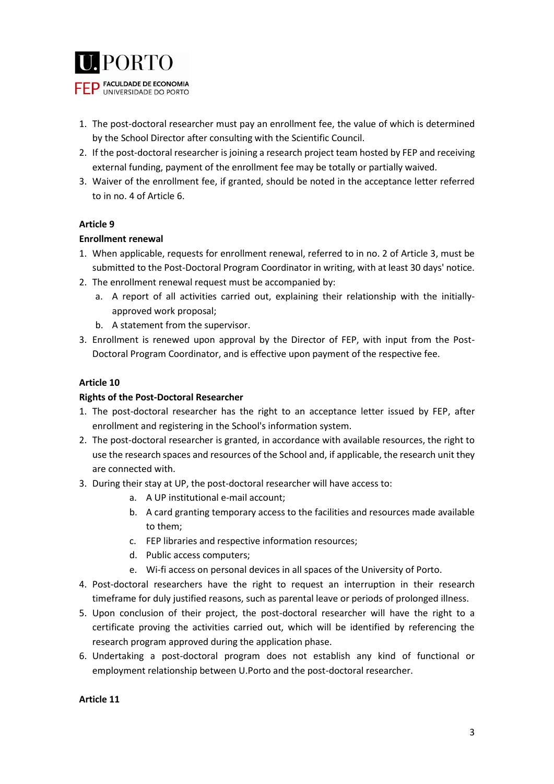

- 1. The post-doctoral researcher must pay an enrollment fee, the value of which is determined by the School Director after consulting with the Scientific Council.
- 2. If the post-doctoral researcher is joining a research project team hosted by FEP and receiving external funding, payment of the enrollment fee may be totally or partially waived.
- 3. Waiver of the enrollment fee, if granted, should be noted in the acceptance letter referred to in no. 4 of Article 6.

## **Article 9**

## **Enrollment renewal**

- 1. When applicable, requests for enrollment renewal, referred to in no. 2 of Article 3, must be submitted to the Post-Doctoral Program Coordinator in writing, with at least 30 days' notice.
- 2. The enrollment renewal request must be accompanied by:
	- a. A report of all activities carried out, explaining their relationship with the initiallyapproved work proposal;
	- b. A statement from the supervisor.
- 3. Enrollment is renewed upon approval by the Director of FEP, with input from the Post-Doctoral Program Coordinator, and is effective upon payment of the respective fee.

## **Article 10**

### **Rights of the Post-Doctoral Researcher**

- 1. The post-doctoral researcher has the right to an acceptance letter issued by FEP, after enrollment and registering in the School's information system.
- 2. The post-doctoral researcher is granted, in accordance with available resources, the right to use the research spaces and resources of the School and, if applicable, the research unit they are connected with.
- 3. During their stay at UP, the post-doctoral researcher will have access to:
	- a. A UP institutional e-mail account;
	- b. A card granting temporary access to the facilities and resources made available to them;
	- c. FEP libraries and respective information resources;
	- d. Public access computers;
	- e. Wi-fi access on personal devices in all spaces of the University of Porto.
- 4. Post-doctoral researchers have the right to request an interruption in their research timeframe for duly justified reasons, such as parental leave or periods of prolonged illness.
- 5. Upon conclusion of their project, the post-doctoral researcher will have the right to a certificate proving the activities carried out, which will be identified by referencing the research program approved during the application phase.
- 6. Undertaking a post-doctoral program does not establish any kind of functional or employment relationship between U.Porto and the post-doctoral researcher.

#### **Article 11**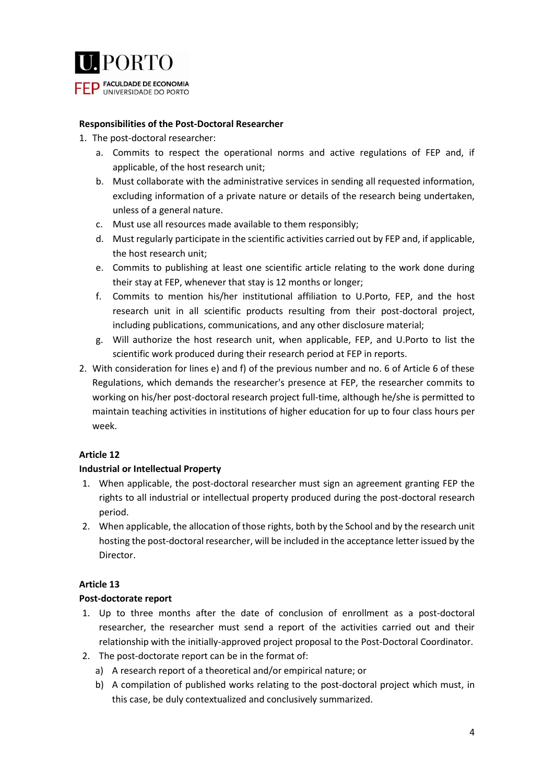

### **Responsibilities of the Post-Doctoral Researcher**

- 1. The post-doctoral researcher:
	- a. Commits to respect the operational norms and active regulations of FEP and, if applicable, of the host research unit;
	- b. Must collaborate with the administrative services in sending all requested information, excluding information of a private nature or details of the research being undertaken, unless of a general nature.
	- c. Must use all resources made available to them responsibly;
	- d. Must regularly participate in the scientific activities carried out by FEP and, if applicable, the host research unit;
	- e. Commits to publishing at least one scientific article relating to the work done during their stay at FEP, whenever that stay is 12 months or longer;
	- f. Commits to mention his/her institutional affiliation to U.Porto, FEP, and the host research unit in all scientific products resulting from their post-doctoral project, including publications, communications, and any other disclosure material;
	- g. Will authorize the host research unit, when applicable, FEP, and U.Porto to list the scientific work produced during their research period at FEP in reports.
- 2. With consideration for lines e) and f) of the previous number and no. 6 of Article 6 of these Regulations, which demands the researcher's presence at FEP, the researcher commits to working on his/her post-doctoral research project full-time, although he/she is permitted to maintain teaching activities in institutions of higher education for up to four class hours per week.

## **Article 12**

#### **Industrial or Intellectual Property**

- 1. When applicable, the post-doctoral researcher must sign an agreement granting FEP the rights to all industrial or intellectual property produced during the post-doctoral research period.
- 2. When applicable, the allocation of those rights, both by the School and by the research unit hosting the post-doctoral researcher, will be included in the acceptance letter issued by the Director.

## **Article 13**

#### **Post-doctorate report**

- 1. Up to three months after the date of conclusion of enrollment as a post-doctoral researcher, the researcher must send a report of the activities carried out and their relationship with the initially-approved project proposal to the Post-Doctoral Coordinator.
- 2. The post-doctorate report can be in the format of:
	- a) A research report of a theoretical and/or empirical nature; or
	- b) A compilation of published works relating to the post-doctoral project which must, in this case, be duly contextualized and conclusively summarized.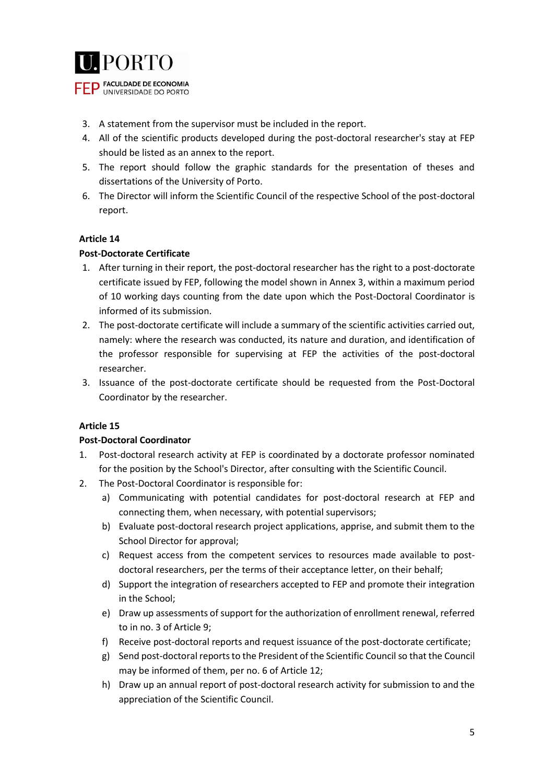

- 3. A statement from the supervisor must be included in the report.
- 4. All of the scientific products developed during the post-doctoral researcher's stay at FEP should be listed as an annex to the report.
- 5. The report should follow the graphic standards for the presentation of theses and dissertations of the University of Porto.
- 6. The Director will inform the Scientific Council of the respective School of the post-doctoral report.

## **Article 14**

## **Post-Doctorate Certificate**

- 1. After turning in their report, the post-doctoral researcher has the right to a post-doctorate certificate issued by FEP, following the model shown in Annex 3, within a maximum period of 10 working days counting from the date upon which the Post-Doctoral Coordinator is informed of its submission.
- 2. The post-doctorate certificate will include a summary of the scientific activities carried out, namely: where the research was conducted, its nature and duration, and identification of the professor responsible for supervising at FEP the activities of the post-doctoral researcher.
- 3. Issuance of the post-doctorate certificate should be requested from the Post-Doctoral Coordinator by the researcher.

## **Article 15**

#### **Post-Doctoral Coordinator**

- 1. Post-doctoral research activity at FEP is coordinated by a doctorate professor nominated for the position by the School's Director, after consulting with the Scientific Council.
- 2. The Post-Doctoral Coordinator is responsible for:
	- a) Communicating with potential candidates for post-doctoral research at FEP and connecting them, when necessary, with potential supervisors;
	- b) Evaluate post-doctoral research project applications, apprise, and submit them to the School Director for approval;
	- c) Request access from the competent services to resources made available to postdoctoral researchers, per the terms of their acceptance letter, on their behalf;
	- d) Support the integration of researchers accepted to FEP and promote their integration in the School;
	- e) Draw up assessments of support for the authorization of enrollment renewal, referred to in no. 3 of Article 9;
	- f) Receive post-doctoral reports and request issuance of the post-doctorate certificate;
	- g) Send post-doctoral reports to the President of the Scientific Council so that the Council may be informed of them, per no. 6 of Article 12;
	- h) Draw up an annual report of post-doctoral research activity for submission to and the appreciation of the Scientific Council.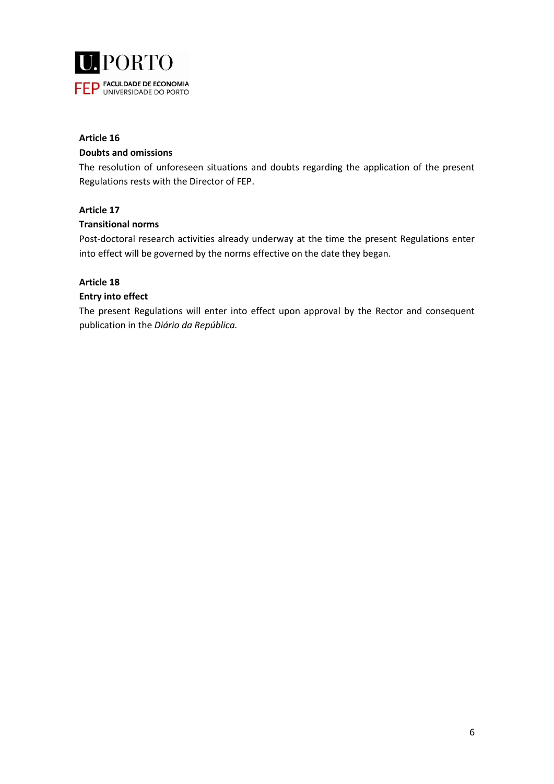

## **Article 16 Doubts and omissions**

The resolution of unforeseen situations and doubts regarding the application of the present Regulations rests with the Director of FEP.

# **Article 17**

## **Transitional norms**

Post-doctoral research activities already underway at the time the present Regulations enter into effect will be governed by the norms effective on the date they began.

## **Article 18**

## **Entry into effect**

The present Regulations will enter into effect upon approval by the Rector and consequent publication in the *Diário da República.*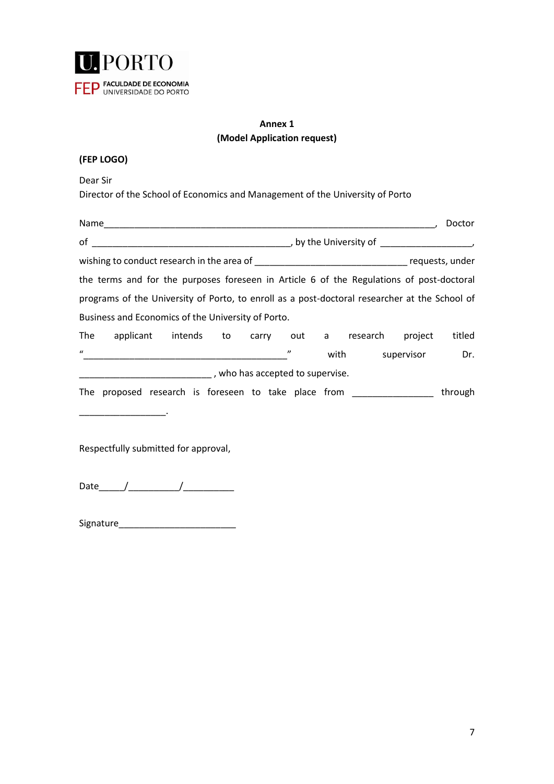

# **Annex 1 (Model Application request)**

Dear Sir

Director of the School of Economics and Management of the University of Porto

|                                                                                                                                                                                                                                                                                                                                       | Doctor                                      |  |  |
|---------------------------------------------------------------------------------------------------------------------------------------------------------------------------------------------------------------------------------------------------------------------------------------------------------------------------------------|---------------------------------------------|--|--|
| $of$ and $\overline{a}$ and $\overline{a}$ and $\overline{a}$ and $\overline{a}$ and $\overline{a}$ and $\overline{a}$ and $\overline{a}$ and $\overline{a}$ and $\overline{a}$ and $\overline{a}$ and $\overline{a}$ and $\overline{a}$ and $\overline{a}$ and $\overline{a}$ and $\overline{a}$ and $\overline{a}$ and $\overline{$ | $\mathcal{L}$ , by the University of        |  |  |
|                                                                                                                                                                                                                                                                                                                                       |                                             |  |  |
| the terms and for the purposes foreseen in Article 6 of the Regulations of post-doctoral                                                                                                                                                                                                                                              |                                             |  |  |
| programs of the University of Porto, to enroll as a post-doctoral researcher at the School of                                                                                                                                                                                                                                         |                                             |  |  |
| Business and Economics of the University of Porto.                                                                                                                                                                                                                                                                                    |                                             |  |  |
| The applicant intends to carry out a research project                                                                                                                                                                                                                                                                                 | titled                                      |  |  |
| $\boldsymbol{u}$                                                                                                                                                                                                                                                                                                                      | $^{\prime\prime}$<br>Dr.<br>with supervisor |  |  |
| who has accepted to supervise.                                                                                                                                                                                                                                                                                                        |                                             |  |  |
| The proposed research is foreseen to take place from                                                                                                                                                                                                                                                                                  | through                                     |  |  |

Respectfully submitted for approval,

Date\_\_\_\_\_/\_\_\_\_\_\_\_\_\_\_/\_\_\_\_\_\_\_\_\_\_

Signature\_\_\_\_\_\_\_\_\_\_\_\_\_\_\_\_\_\_\_\_\_\_\_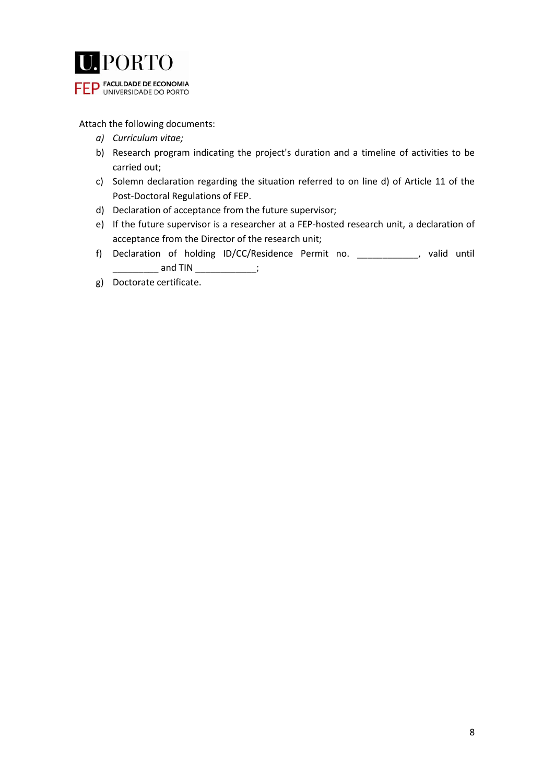

Attach the following documents:

- *a) Curriculum vitae;*
- b) Research program indicating the project's duration and a timeline of activities to be carried out;
- c) Solemn declaration regarding the situation referred to on line d) of Article 11 of the Post-Doctoral Regulations of FEP.
- d) Declaration of acceptance from the future supervisor;
- e) If the future supervisor is a researcher at a FEP-hosted research unit, a declaration of acceptance from the Director of the research unit;
- f) Declaration of holding ID/CC/Residence Permit no. \_\_\_\_\_\_\_\_\_\_\_\_, valid until \_\_\_ and TIN \_\_\_\_\_\_\_\_\_\_\_\_\_\_;
- g) Doctorate certificate.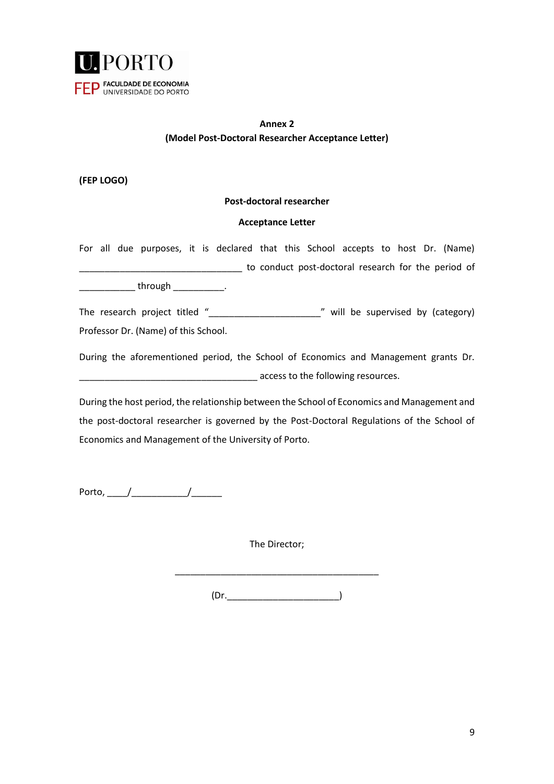

# **Annex 2 (Model Post-Doctoral Researcher Acceptance Letter)**

**(FEP LOGO)**

## **Post-doctoral researcher**

#### **Acceptance Letter**

For all due purposes, it is declared that this School accepts to host Dr. (Name) \_\_\_\_\_\_\_\_\_\_\_\_\_\_\_\_\_\_\_\_\_\_\_\_\_\_\_\_\_\_\_\_ to conduct post-doctoral research for the period of \_\_\_\_\_\_\_\_\_\_\_\_\_\_ through \_\_\_\_\_\_\_\_\_\_\_\_\_.

The research project titled "\_\_\_\_\_\_\_\_\_\_\_\_\_\_\_\_\_\_\_\_\_\_" will be supervised by (category) Professor Dr. (Name) of this School.

During the aforementioned period, the School of Economics and Management grants Dr. \_\_\_\_\_\_\_\_\_\_\_\_\_\_\_\_\_\_\_\_\_\_\_\_\_\_\_\_\_\_\_\_\_\_\_ access to the following resources.

During the host period, the relationship between the School of Economics and Management and the post-doctoral researcher is governed by the Post-Doctoral Regulations of the School of Economics and Management of the University of Porto.

Porto, \_\_\_\_/\_\_\_\_\_\_\_\_\_\_\_/\_\_\_\_\_\_

The Director;

 $(Dr.$ 

\_\_\_\_\_\_\_\_\_\_\_\_\_\_\_\_\_\_\_\_\_\_\_\_\_\_\_\_\_\_\_\_\_\_\_\_\_\_\_\_